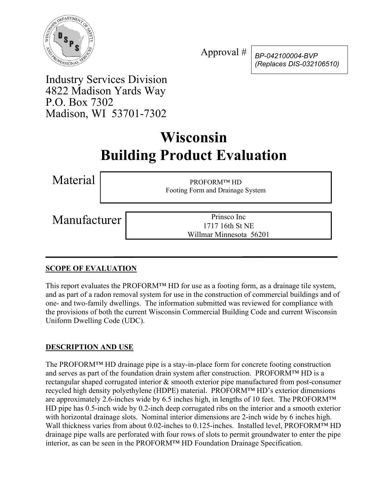

Approval # *BP-042100004-BVP (Replaces DIS-032106510)*

Industry Services Division 4822 Madison Yards Way P.O. Box 7302 Madison, WI 53701-7302

# **Wisconsin Building Product Evaluation**

Material PROFORM™ HD Footing Form and Drainage System

Manufacturer Prinsco Inc

1717 16th St NE Willmar Minnesota 56201

## **SCOPE OF EVALUATION**

This report evaluates the PROFORM™ HD for use as a footing form, as a drainage tile system, and as part of a radon removal system for use in the construction of commercial buildings and of one- and two-family dwellings. The information submitted was reviewed for compliance with the provisions of both the current Wisconsin Commercial Building Code and current Wisconsin Uniform Dwelling Code (UDC).

## **DESCRIPTION AND USE**

The PROFORM™ HD drainage pipe is a stay-in-place form for concrete footing construction and serves as part of the foundation drain system after construction. PROFORM™ HD is a rectangular shaped corrugated interior & smooth exterior pipe manufactured from post-consumer recycled high density polyethylene (HDPE) material. PROFORM™ HD's exterior dimensions are approximately 2.6-inches wide by 6.5 inches high, in lengths of 10 feet. The PROFORM™ HD pipe has 0.5-inch wide by 0.2-inch deep corrugated ribs on the interior and a smooth exterior with horizontal drainage slots. Nominal interior dimensions are 2-inch wide by 6 inches high. Wall thickness varies from about 0.02-inches to 0.125-inches. Installed level, PROFORM™ HD drainage pipe walls are perforated with four rows of slots to permit groundwater to enter the pipe interior, as can be seen in the PROFORM™ HD Foundation Drainage Specification.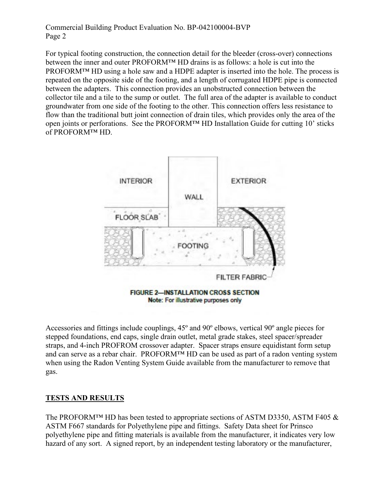#### Commercial Building Product Evaluation No. BP-042100004-BVP Page 2

For typical footing construction, the connection detail for the bleeder (cross-over) connections between the inner and outer PROFORM™ HD drains is as follows: a hole is cut into the PROFORM™ HD using a hole saw and a HDPE adapter is inserted into the hole. The process is repeated on the opposite side of the footing, and a length of corrugated HDPE pipe is connected between the adapters. This connection provides an unobstructed connection between the collector tile and a tile to the sump or outlet. The full area of the adapter is available to conduct groundwater from one side of the footing to the other. This connection offers less resistance to flow than the traditional butt joint connection of drain tiles, which provides only the area of the open joints or perforations. See the PROFORM™ HD Installation Guide for cutting 10' sticks of PROFORM™ HD.



Accessories and fittings include couplings, 45º and 90º elbows, vertical 90º angle pieces for stepped foundations, end caps, single drain outlet, metal grade stakes, steel spacer/spreader straps, and 4-inch PROFROM crossover adapter. Spacer straps ensure equidistant form setup and can serve as a rebar chair. PROFORM™ HD can be used as part of a radon venting system when using the Radon Venting System Guide available from the manufacturer to remove that gas.

#### **TESTS AND RESULTS**

The PROFORM<sup>™</sup> HD has been tested to appropriate sections of ASTM D3350, ASTM F405  $\&$ ASTM F667 standards for Polyethylene pipe and fittings. Safety Data sheet for Prinsco polyethylene pipe and fitting materials is available from the manufacturer, it indicates very low hazard of any sort. A signed report, by an independent testing laboratory or the manufacturer,